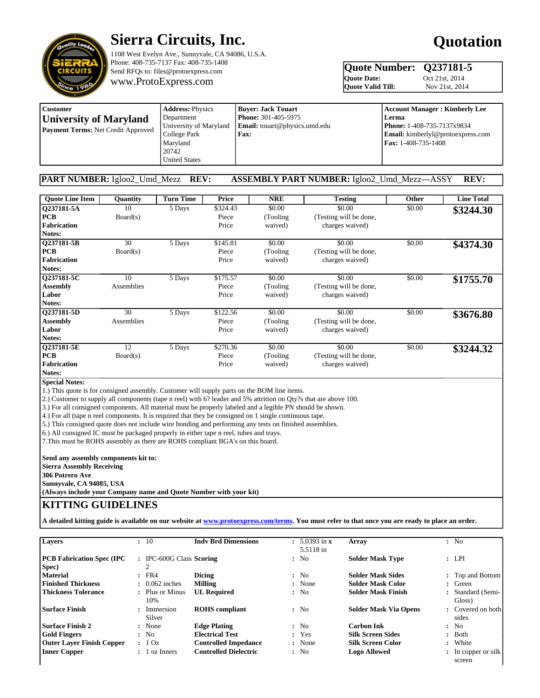

# **Sierra Circuits, Inc.**

1108 West Evelyn Ave., Sunnyvale, CA 94086, U.S.A. Phone: 408-735-7137 Fax: 408-735-1408 Send RFQs to: files@protoexpress.com

www.ProtoExpress.com

# **Quotation**

# **Quote Number: Q237181-5**<br>Quote Date: **Oct 21st, 2014**

Quote Valid Till:

**Oct 21st, 2014**<br>Nov 21st, 2014

| Customer                                  | <b>Address: Physics</b> | <b>Buver: Jack Touart</b>            | <b>Account Manager: Kimberly Lee</b>     |  |  |
|-------------------------------------------|-------------------------|--------------------------------------|------------------------------------------|--|--|
| <b>University of Maryland</b>             | Department              | <b>Phone: 301-405-5975</b>           | Lerma                                    |  |  |
| <b>Payment Terms: Net Credit Approved</b> | University of Maryland  | <b>Email:</b> touart@physics.umd.edu | <b>Phone: 1-408-735-7137x9834</b>        |  |  |
|                                           | College Park            | <b>Fax:</b>                          | <b>Email:</b> kimberlyl@protoexpress.com |  |  |
|                                           | Marvland                |                                      | <b>Fax:</b> 1-408-735-1408               |  |  |
|                                           | 20742                   |                                      |                                          |  |  |
|                                           | <b>United States</b>    |                                      |                                          |  |  |

## **PART NUMBER:** Igloo2\_Umd\_Mezz **REV: ASSEMBLY PART NUMBER:** Igloo2\_Umd\_Mezz---ASSY **REV:**

| <b>Quote Line Item</b> | <b>Ouantity</b> | <b>Turn Time</b> | Price    | <b>NRE</b> | <b>Testing</b>         | <b>Other</b> | <b>Line Total</b> |
|------------------------|-----------------|------------------|----------|------------|------------------------|--------------|-------------------|
| Q237181-5A             | 10              | 5 Days           | \$324.43 | \$0.00     | \$0.00                 | \$0.00       | \$3244.30         |
| <b>PCB</b>             | Board(s)        |                  | Piece    | (Tooling)  | (Testing will be done, |              |                   |
| <b>Fabrication</b>     |                 |                  | Price    | waived)    | charges waived)        |              |                   |
| Notes:                 |                 |                  |          |            |                        |              |                   |
| Q237181-5B             | 30              | 5 Days           | \$145.81 | \$0.00     | \$0.00                 | \$0.00       | \$4374.30         |
| <b>PCB</b>             | Board(s)        |                  | Piece    | (Tooling)  | (Testing will be done, |              |                   |
| <b>Fabrication</b>     |                 |                  | Price    | waived)    | charges waived)        |              |                   |
| Notes:                 |                 |                  |          |            |                        |              |                   |
| Q237181-5C             | 10              | 5 Days           | \$175.57 | \$0.00     | \$0.00                 | \$0.00       | \$1755.70         |
| <b>Assembly</b>        | Assemblies      |                  | Piece    | (Tooling)  | (Testing will be done, |              |                   |
| Labor                  |                 |                  | Price    | waived)    | charges waived)        |              |                   |
| Notes:                 |                 |                  |          |            |                        |              |                   |
| Q237181-5D             | 30              | 5 Days           | \$122.56 | \$0.00     | \$0.00                 | \$0.00       | \$3676.80         |
| <b>Assembly</b>        | Assemblies      |                  | Piece    | (Tooling)  | (Testing will be done, |              |                   |
| Labor                  |                 |                  | Price    | waived)    | charges waived)        |              |                   |
| Notes:                 |                 |                  |          |            |                        |              |                   |
| Q237181-5E             | 12              | 5 Days           | \$270.36 | \$0.00     | \$0.00                 | \$0.00       | \$3244.32         |
| <b>PCB</b>             | Board(s)        |                  | Piece    | (Tooling)  | (Testing will be done, |              |                   |
| <b>Fabrication</b>     |                 |                  | Price    | waived)    | charges waived)        |              |                   |
| Notes:                 |                 |                  |          |            |                        |              |                   |

**Special Notes:**

1.) This quote is for consigned assembly. Customer will supply parts on the BOM line items.

2.) Customer to supply all components (tape n reel) with 6? leader and 5% attrition on Qty?s that are above 100.

3.) For all consigned components. All material must be properly labeled and a legible PN should be shown.

4.) For all (tape n reel components. It is required that they be consigned on 1 single continuous tape.

5.) This consigned quote does not include wire bonding and performing any tests on finished assemblies.

6.) All consigned IC must be packaged properly in either tape n reel, tubes and trays.

7.This must be ROHS assembly as there are ROHS compliant BGA's on this board.

**Send any assembly components kit to: Sierra Assembly Receiving 306 Potrero Ave Sunnyvale, CA 94085, USA**

**(Always include your Company name and Quote Number with your kit)**

# **KITTING GUIDELINES**

**A detailed kitting guide is available on our website at [www.protoexpress.com/terms.](http://www.protoexpress.com/terms#kitting) You must refer to that once you are ready to place an order.**

| Layers                           | : 10                      | <b>Indy Brd Dimensions</b>   | $\pm 5.0393$ in x<br>5.5118 in | Array                        | : No                           |
|----------------------------------|---------------------------|------------------------------|--------------------------------|------------------------------|--------------------------------|
| <b>PCB Fabrication Spec (IPC</b> | : IPC-600G Class Scoring  |                              | : No                           | <b>Solder Mask Type</b>      | : LPI                          |
| Spec)                            | 2                         |                              |                                |                              |                                |
| <b>Material</b>                  | $:$ FR4                   | <b>Dicing</b>                | : No                           | <b>Solder Mask Sides</b>     | : Top and Bottom               |
| <b>Finished Thickness</b>        | $\therefore$ 0.062 inches | <b>Milling</b>               | : None                         | <b>Solder Mask Color</b>     | Green                          |
| <b>Thickness Tolerance</b>       | : Plus or Minus           | <b>UL Required</b>           | : No                           | <b>Solder Mask Finish</b>    | Standard (Semi-                |
|                                  | 10%                       |                              |                                |                              | Gloss)                         |
| l Surface Finish                 | : Immersion<br>Silver     | <b>ROHS</b> compliant        | : No                           | <b>Solder Mask Via Opens</b> | : Covered on both<br>sides     |
| <b>Surface Finish 2</b>          | : None                    | <b>Edge Plating</b>          | : No                           | <b>Carbon Ink</b>            | : No                           |
| <b>Gold Fingers</b>              | : No                      | <b>Electrical Test</b>       | : Yes                          | <b>Silk Screen Sides</b>     | : Both                         |
| <b>Outer Laver Finish Copper</b> | : 10z                     | <b>Controlled Impedance</b>  | : None                         | <b>Silk Screen Color</b>     | : White                        |
| <b>Inner Copper</b>              | : 1 oz Inners             | <b>Controlled Dielectric</b> | : No                           | <b>Logo Allowed</b>          | $\therefore$ In copper or silk |
|                                  |                           |                              |                                |                              | screen                         |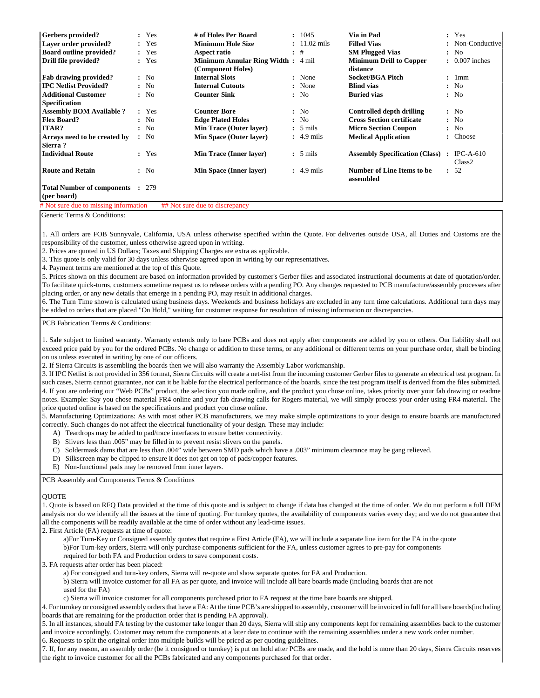| <b>Gerbers</b> provided?                               | : Yes | # of Holes Per Board                                    | : 1045                 | Via in Pad                                     | : Yes                                        |
|--------------------------------------------------------|-------|---------------------------------------------------------|------------------------|------------------------------------------------|----------------------------------------------|
| Layer order provided?                                  | : Yes | <b>Minimum Hole Size</b>                                | $: 11.02 \text{ mils}$ | <b>Filled Vias</b>                             | : Non-Conductive                             |
| <b>Board outline provided?</b>                         | : Yes | Aspect ratio                                            | $:$ #                  | <b>SM Plugged Vias</b>                         | : No                                         |
| Drill file provided?                                   | : Yes | <b>Minimum Annular Ring Width:</b><br>(Component Holes) | 4 mil                  | <b>Minimum Drill to Copper</b><br>distance     | $\therefore$ 0.007 inches                    |
| <b>Fab drawing provided?</b>                           | : No  | <b>Internal Slots</b>                                   | : None                 | Socket/BGA Pitch                               | : 1mm                                        |
| <b>IPC Netlist Provided?</b>                           | : No  | <b>Internal Cutouts</b>                                 | : None                 | <b>Blind vias</b>                              | : No                                         |
| <b>Additional Customer</b>                             | : No  | <b>Counter Sink</b>                                     | : No                   | <b>Buried vias</b>                             | : No                                         |
| <b>Specification</b>                                   |       |                                                         |                        |                                                |                                              |
| <b>Assembly BOM Available ?</b>                        | : Yes | <b>Counter Bore</b>                                     | : No                   | Controlled depth drilling                      | : No                                         |
| <b>Flex Board?</b>                                     | : No  | <b>Edge Plated Holes</b>                                | : No                   | <b>Cross Section certificate</b>               | : No                                         |
| ITAR?                                                  | : No  | <b>Min Trace (Outer layer)</b>                          | $: 5 \text{ miles}$    | <b>Micro Section Coupon</b>                    | : No                                         |
| Arrays need to be created by                           | : No  | <b>Min Space (Outer layer)</b>                          | $\div$ 4.9 mils        | <b>Medical Application</b>                     | : Choose                                     |
| Sierra?                                                |       |                                                         |                        |                                                |                                              |
| <b>Individual Route</b>                                | : Yes | <b>Min Trace (Inner layer)</b>                          | $: 5 \text{ miles}$    | <b>Assembly Specification (Class)</b>          | $\therefore$ IPC-A-610<br>Class <sub>2</sub> |
| <b>Route and Retain</b>                                | : No  | Min Space (Inner layer)                                 | $\div$ 4.9 mils        | <b>Number of Line Items to be</b><br>assembled | : 52                                         |
| <b>Total Number of components : 279</b><br>(per board) |       |                                                         |                        |                                                |                                              |

 $#$  Not sure due to missing information  $#$  # Not sure due to discrepancy

Generic Terms & Conditions:

1. All orders are FOB Sunnyvale, California, USA unless otherwise specified within the Quote. For deliveries outside USA, all Duties and Customs are the responsibility of the customer, unless otherwise agreed upon in writing.

2. Prices are quoted in US Dollars; Taxes and Shipping Charges are extra as applicable.

3. This quote is only valid for 30 days unless otherwise agreed upon in writing by our representatives.

4. Payment terms are mentioned at the top of this Quote.

5. Prices shown on this document are based on information provided by customer's Gerber files and associated instructional documents at date of quotation/order. To facilitate quick-turns, customers sometime request us to release orders with a pending PO. Any changes requested to PCB manufacture/assembly processes after placing order, or any new details that emerge in a pending PO, may result in additional charges.

6. The Turn Time shown is calculated using business days. Weekends and business holidays are excluded in any turn time calculations. Additional turn days may be added to orders that are placed "On Hold," waiting for customer response for resolution of missing information or discrepancies.

PCB Fabrication Terms & Conditions:

1. Sale subject to limited warranty. Warranty extends only to bare PCBs and does not apply after components are added by you or others. Our liability shall not exceed price paid by you for the ordered PCBs. No change or addition to these terms, or any additional or different terms on your purchase order, shall be binding on us unless executed in writing by one of our officers.

2. If Sierra Circuits is assembling the boards then we will also warranty the Assembly Labor workmanship.

3. If IPC Netlist is not provided in 356 format, Sierra Circuits will create a net-list from the incoming customer Gerber files to generate an electrical test program. In such cases, Sierra cannot guarantee, nor can it be liable for the electrical performance of the boards, since the test program itself is derived from the files submitted. 4. If you are ordering our "Web PCBs" product, the selection you made online, and the product you chose online, takes priority over your fab drawing or readme notes. Example: Say you chose material FR4 online and your fab drawing calls for Rogers material, we will simply process your order using FR4 material. The price quoted online is based on the specifications and product you chose online.

5. Manufacturing Optimizations: As with most other PCB manufacturers, we may make simple optimizations to your design to ensure boards are manufactured correctly. Such changes do not affect the electrical functionality of your design. These may include:

- A) Teardrops may be added to pad/trace interfaces to ensure better connectivity.
- B) Slivers less than .005" may be filled in to prevent resist slivers on the panels.
- C) Soldermask dams that are less than .004" wide between SMD pads which have a .003" minimum clearance may be gang relieved.
- D) Silkscreen may be clipped to ensure it does not get on top of pads/copper features.
- E) Non-functional pads may be removed from inner layers.

PCB Assembly and Components Terms & Conditions

#### **OUOTE**

1. Quote is based on RFQ Data provided at the time of this quote and is subject to change if data has changed at the time of order. We do not perform a full DFM analysis nor do we identify all the issues at the time of quoting. For turnkey quotes, the availability of components varies every day; and we do not guarantee that all the components will be readily available at the time of order without any lead-time issues.

2. First Article (FA) requests at time of quote:

 a)For Turn-Key or Consigned assembly quotes that require a First Article (FA), we will include a separate line item for the FA in the quote b)For Turn-key orders, Sierra will only purchase components sufficient for the FA, unless customer agrees to pre-pay for components required for both FA and Production orders to save component costs.

3. FA requests after order has been placed:

a) For consigned and turn-key orders, Sierra will re-quote and show separate quotes for FA and Production.

 b) Sierra will invoice customer for all FA as per quote, and invoice will include all bare boards made (including boards that are not used for the FA)

c) Sierra will invoice customer for all components purchased prior to FA request at the time bare boards are shipped.

4. For turnkey or consigned assembly orders that have a FA: At the time PCB's are shipped to assembly, customer will be invoiced in full for all bare boards(including boards that are remaining for the production order that is pending FA approval).

5. In all instances, should FA testing by the customer take longer than 20 days, Sierra will ship any components kept for remaining assemblies back to the customer and invoice accordingly. Customer may return the components at a later date to continue with the remaining assemblies under a new work order number. 6. Requests to split the original order into multiple builds will be priced as per quoting guidelines.

7. If, for any reason, an assembly order (be it consigned or turnkey) is put on hold after PCBs are made, and the hold is more than 20 days, Sierra Circuits reserves the right to invoice customer for all the PCBs fabricated and any components purchased for that order.